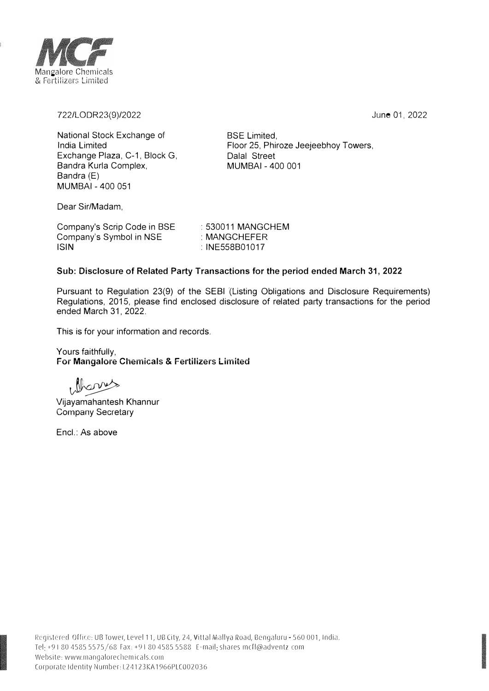

722/LODR23(9)/2022

June 01, 2022

National Stock Exchange of India Limited Exchange Plaza, C-1, Block G, Bandra Kurla Complex, Bandra (E) MUMBAI - 400 051

BSE Limited, Floor 25, Phiroze Jeejeebhoy Towers, Dalal Street MUMBAI - 400 001

Dear Sir/Madam,

| Company's Scrip Code in BSE | : 530011 MANGCHEM         |
|-----------------------------|---------------------------|
| Company's Symbol in NSE     | : MANGCHEFER              |
| <b>ISIN</b>                 | $\therefore$ INE558B01017 |

## **Sub: Disclosure of Related Party Transactions for the period ended March 31, 2022**

**Pursuant to Regulation 23(9) of the SEBI (Listing Obligations and Disclosure Requirements) Regulations, 2015, please find enclosed disclosure of related party transactions for the period ended March 31, 2022.** 

**This is for your information and records.** 

**Yours faithfully, For Mangalore Chemicals & Fertilizers Limited** 

*Jv�* 

**Vijayamahantesh Khannur Company Secretary** 

**Encl.: As above**